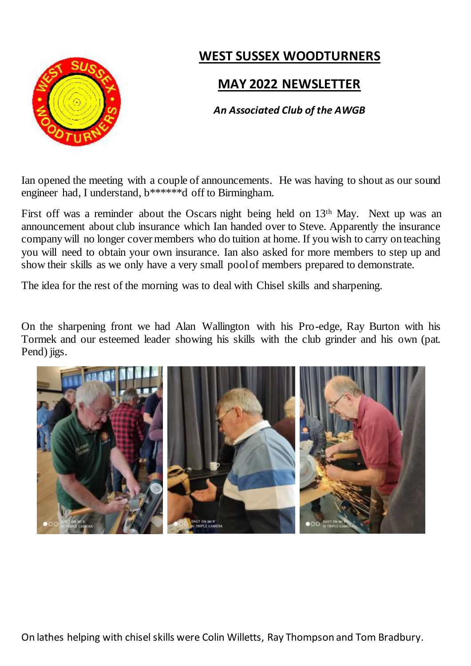

# **WEST SUSSEX WOODTURNERS**

### **MAY 2022 NEWSLETTER**

#### *An Associated Club of the AWGB*

Ian opened the meeting with a couple of announcements. He was having to shout as our sound engineer had, I understand, b\*\*\*\*\*\*d off to Birmingham.

First off was a reminder about the Oscars night being held on 13th May. Next up was an announcement about club insurance which Ian handed over to Steve. Apparently the insurance company will no longer cover members who do tuition at home. If you wish to carry on teaching you will need to obtain your own insurance. Ian also asked for more members to step up and show their skills as we only have a very small pool of members prepared to demonstrate.

The idea for the rest of the morning was to deal with Chisel skills and sharpening.

On the sharpening front we had Alan Wallington with his Pro-edge, Ray Burton with his Tormek and our esteemed leader showing his skills with the club grinder and his own (pat. Pend) jigs.

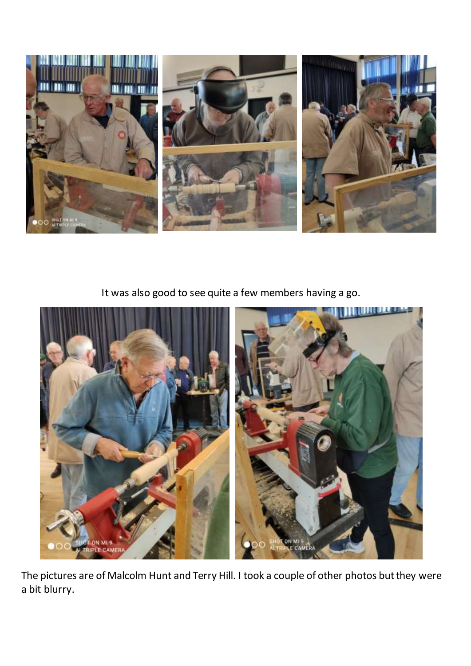

It was also good to see quite a few members having a go.



The pictures are of Malcolm Hunt and Terry Hill. I took a couple of other photos but they were a bit blurry.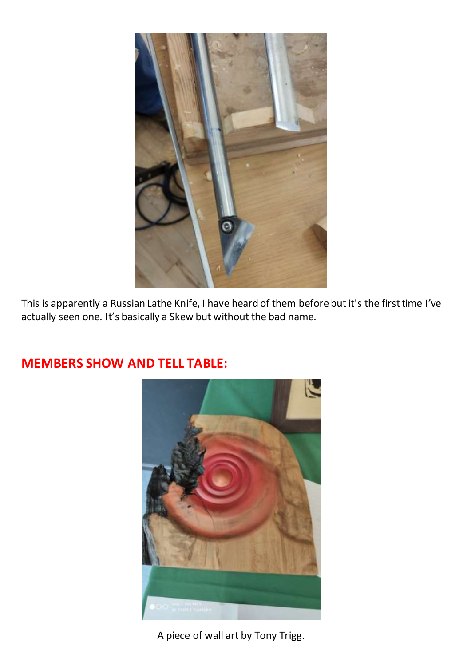

This is apparently a Russian Lathe Knife, I have heard of them before but it's the first time I've actually seen one. It's basically a Skew but without the bad name.

# **MEMBERS SHOW AND TELL TABLE:**



A piece of wall art by Tony Trigg.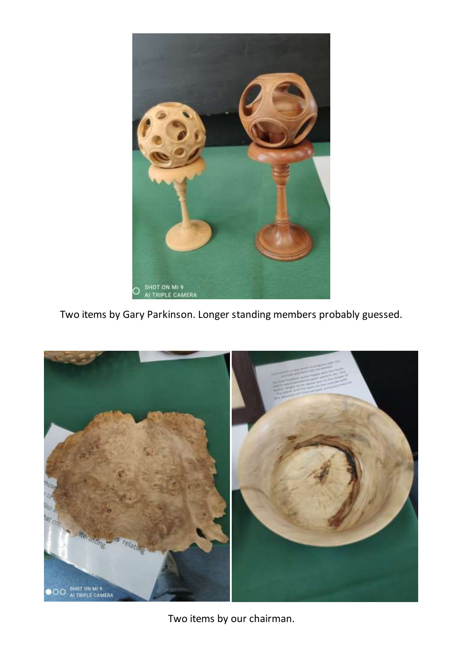

Two items by Gary Parkinson. Longer standing members probably guessed.



Two items by our chairman.